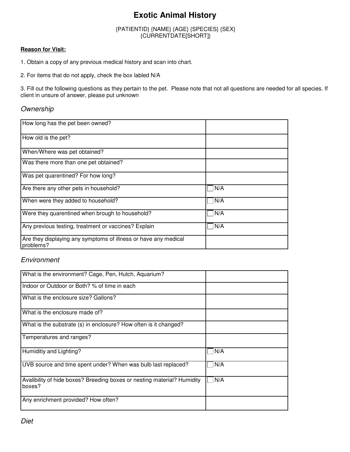## **Exotic Animal History**

#### {PATIENTID} {NAME} {AGE} {SPECIES} {SEX} {CURRENTDATE[SHORT]}

#### **Reason for Visit:**

1. Obtain a copy of any previous medical history and scan into chart.

2. For items that do not apply, check the box labled N/A

3. Fill out the following questions as they pertain to the pet. Please note that not all questions are needed for all species. If client in unsure of answer, please put unknown

### **Ownership**

| How long has the pet been owned?                                             |     |
|------------------------------------------------------------------------------|-----|
| How old is the pet?                                                          |     |
| When/Where was pet obtained?                                                 |     |
| Was there more than one pet obtained?                                        |     |
| Was pet quarentined? For how long?                                           |     |
| Are there any other pets in household?                                       | N/A |
| When were they added to household?                                           | N/A |
| Were they quarentined when brough to household?                              | N/A |
| Any previous testing, treatment or vaccines? Explain                         | N/A |
| Are they displaying any symptoms of illness or have any medical<br>problems? |     |

### Environment

| What is the environment? Cage, Pen, Hutch, Aquarium?                              |     |
|-----------------------------------------------------------------------------------|-----|
| Indoor or Outdoor or Both? % of time in each                                      |     |
| What is the enclosure size? Gallons?                                              |     |
| What is the enclosure made of?                                                    |     |
| What is the substrate (s) in enclosure? How often is it changed?                  |     |
| Temperatures and ranges?                                                          |     |
| Humiditiy and Lighting?                                                           | N/A |
| UVB source and time spent under? When was bulb last replaced?                     | N/A |
| Avalibility of hide boxes? Breeding boxes or nesting material? Humidity<br>boxes? | N/A |
| Any enrichment provided? How often?                                               |     |